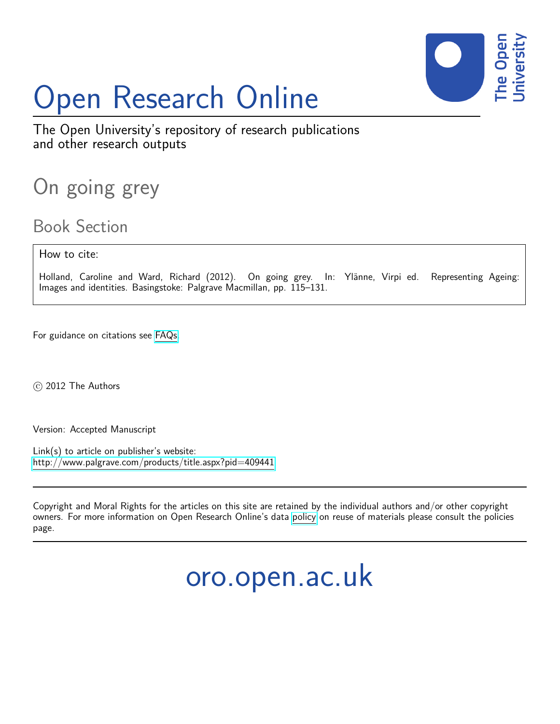

# Open Research Online

The Open University's repository of research publications and other research outputs

On going grey

# Book Section

How to cite:

Holland, Caroline and Ward, Richard (2012). On going grey. In: Ylänne, Virpi ed. Representing Ageing: Images and identities. Basingstoke: Palgrave Macmillan, pp. 115–131.

For guidance on citations see [FAQs.](http://oro.open.ac.uk/help/helpfaq.html)

(c) 2012 The Authors

Version: Accepted Manuscript

Link(s) to article on publisher's website: <http://www.palgrave.com/products/title.aspx?pid=409441>

Copyright and Moral Rights for the articles on this site are retained by the individual authors and/or other copyright owners. For more information on Open Research Online's data [policy](http://oro.open.ac.uk/policies.html) on reuse of materials please consult the policies page.

oro.open.ac.uk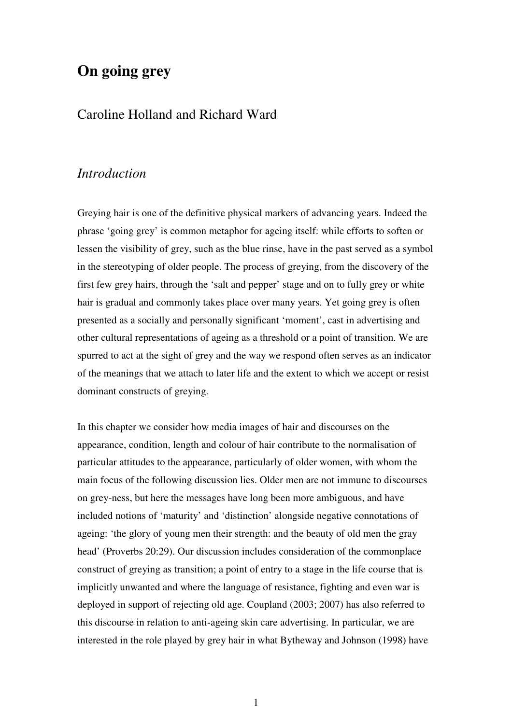# **On going grey**

#### Caroline Holland and Richard Ward

#### *Introduction*

Greying hair is one of the definitive physical markers of advancing years. Indeed the phrase 'going grey' is common metaphor for ageing itself: while efforts to soften or lessen the visibility of grey, such as the blue rinse, have in the past served as a symbol in the stereotyping of older people. The process of greying, from the discovery of the first few grey hairs, through the 'salt and pepper' stage and on to fully grey or white hair is gradual and commonly takes place over many years. Yet going grey is often presented as a socially and personally significant 'moment', cast in advertising and other cultural representations of ageing as a threshold or a point of transition. We are spurred to act at the sight of grey and the way we respond often serves as an indicator of the meanings that we attach to later life and the extent to which we accept or resist dominant constructs of greying.

In this chapter we consider how media images of hair and discourses on the appearance, condition, length and colour of hair contribute to the normalisation of particular attitudes to the appearance, particularly of older women, with whom the main focus of the following discussion lies. Older men are not immune to discourses on grey-ness, but here the messages have long been more ambiguous, and have included notions of 'maturity' and 'distinction' alongside negative connotations of ageing: 'the glory of young men their strength: and the beauty of old men the gray head' (Proverbs 20:29). Our discussion includes consideration of the commonplace construct of greying as transition; a point of entry to a stage in the life course that is implicitly unwanted and where the language of resistance, fighting and even war is deployed in support of rejecting old age. Coupland (2003; 2007) has also referred to this discourse in relation to anti-ageing skin care advertising. In particular, we are interested in the role played by grey hair in what Bytheway and Johnson (1998) have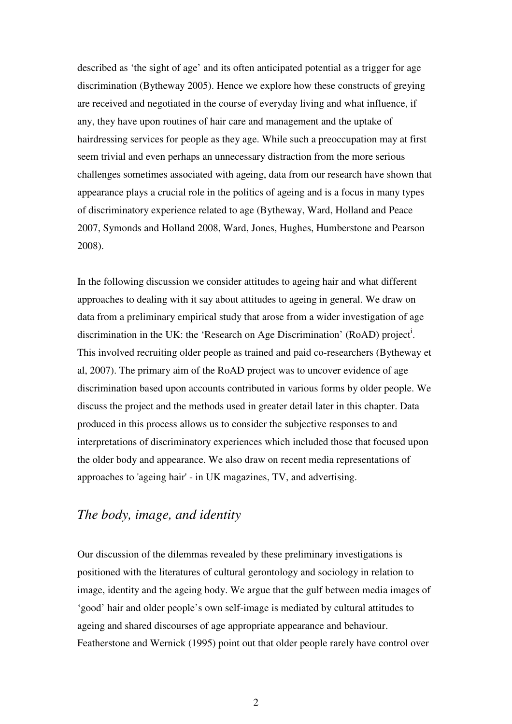described as 'the sight of age' and its often anticipated potential as a trigger for age discrimination (Bytheway 2005). Hence we explore how these constructs of greying are received and negotiated in the course of everyday living and what influence, if any, they have upon routines of hair care and management and the uptake of hairdressing services for people as they age. While such a preoccupation may at first seem trivial and even perhaps an unnecessary distraction from the more serious challenges sometimes associated with ageing, data from our research have shown that appearance plays a crucial role in the politics of ageing and is a focus in many types of discriminatory experience related to age (Bytheway, Ward, Holland and Peace 2007, Symonds and Holland 2008, Ward, Jones, Hughes, Humberstone and Pearson 2008).

In the following discussion we consider attitudes to ageing hair and what different approaches to dealing with it say about attitudes to ageing in general. We draw on data from a preliminary empirical study that arose from a wider investigation of age discrimination in the UK: the 'Research on Age Discrimination' (RoAD) project<sup>i</sup>. This involved recruiting older people as trained and paid co-researchers (Bytheway et al, 2007). The primary aim of the RoAD project was to uncover evidence of age discrimination based upon accounts contributed in various forms by older people. We discuss the project and the methods used in greater detail later in this chapter. Data produced in this process allows us to consider the subjective responses to and interpretations of discriminatory experiences which included those that focused upon the older body and appearance. We also draw on recent media representations of approaches to 'ageing hair' - in UK magazines, TV, and advertising.

### *The body, image, and identity*

Our discussion of the dilemmas revealed by these preliminary investigations is positioned with the literatures of cultural gerontology and sociology in relation to image, identity and the ageing body. We argue that the gulf between media images of 'good' hair and older people's own self-image is mediated by cultural attitudes to ageing and shared discourses of age appropriate appearance and behaviour. Featherstone and Wernick (1995) point out that older people rarely have control over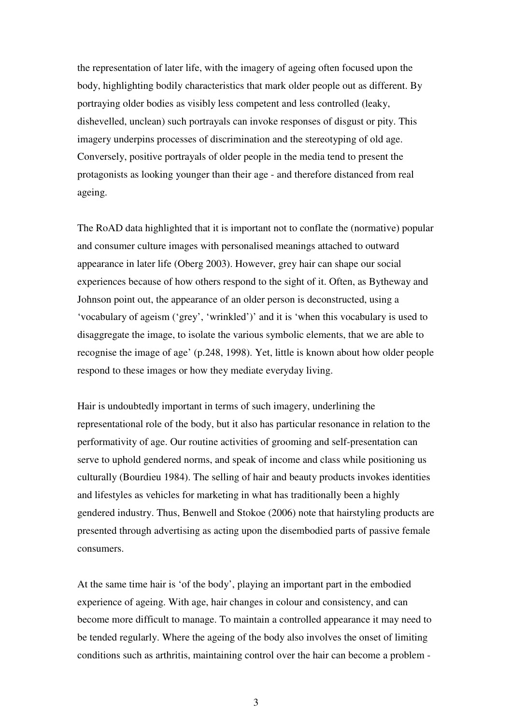the representation of later life, with the imagery of ageing often focused upon the body, highlighting bodily characteristics that mark older people out as different. By portraying older bodies as visibly less competent and less controlled (leaky, dishevelled, unclean) such portrayals can invoke responses of disgust or pity. This imagery underpins processes of discrimination and the stereotyping of old age. Conversely, positive portrayals of older people in the media tend to present the protagonists as looking younger than their age - and therefore distanced from real ageing.

The RoAD data highlighted that it is important not to conflate the (normative) popular and consumer culture images with personalised meanings attached to outward appearance in later life (Oberg 2003). However, grey hair can shape our social experiences because of how others respond to the sight of it. Often, as Bytheway and Johnson point out, the appearance of an older person is deconstructed, using a 'vocabulary of ageism ('grey', 'wrinkled')' and it is 'when this vocabulary is used to disaggregate the image, to isolate the various symbolic elements, that we are able to recognise the image of age' (p.248, 1998). Yet, little is known about how older people respond to these images or how they mediate everyday living.

Hair is undoubtedly important in terms of such imagery, underlining the representational role of the body, but it also has particular resonance in relation to the performativity of age. Our routine activities of grooming and self-presentation can serve to uphold gendered norms, and speak of income and class while positioning us culturally (Bourdieu 1984). The selling of hair and beauty products invokes identities and lifestyles as vehicles for marketing in what has traditionally been a highly gendered industry. Thus, Benwell and Stokoe (2006) note that hairstyling products are presented through advertising as acting upon the disembodied parts of passive female consumers.

At the same time hair is 'of the body', playing an important part in the embodied experience of ageing. With age, hair changes in colour and consistency, and can become more difficult to manage. To maintain a controlled appearance it may need to be tended regularly. Where the ageing of the body also involves the onset of limiting conditions such as arthritis, maintaining control over the hair can become a problem -

3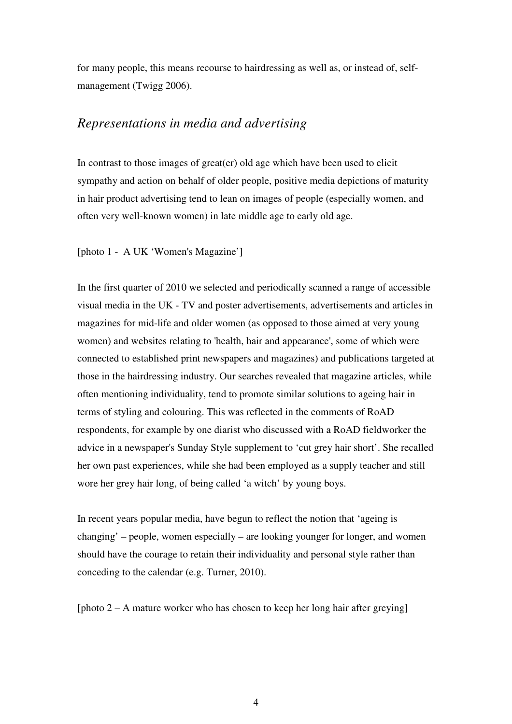for many people, this means recourse to hairdressing as well as, or instead of, selfmanagement (Twigg 2006).

#### *Representations in media and advertising*

In contrast to those images of great(er) old age which have been used to elicit sympathy and action on behalf of older people, positive media depictions of maturity in hair product advertising tend to lean on images of people (especially women, and often very well-known women) in late middle age to early old age.

[photo 1 - A UK 'Women's Magazine']

In the first quarter of 2010 we selected and periodically scanned a range of accessible visual media in the UK - TV and poster advertisements, advertisements and articles in magazines for mid-life and older women (as opposed to those aimed at very young women) and websites relating to 'health, hair and appearance', some of which were connected to established print newspapers and magazines) and publications targeted at those in the hairdressing industry. Our searches revealed that magazine articles, while often mentioning individuality, tend to promote similar solutions to ageing hair in terms of styling and colouring. This was reflected in the comments of RoAD respondents, for example by one diarist who discussed with a RoAD fieldworker the advice in a newspaper's Sunday Style supplement to 'cut grey hair short'. She recalled her own past experiences, while she had been employed as a supply teacher and still wore her grey hair long, of being called 'a witch' by young boys.

In recent years popular media, have begun to reflect the notion that 'ageing is changing' – people, women especially – are looking younger for longer, and women should have the courage to retain their individuality and personal style rather than conceding to the calendar (e.g. Turner, 2010).

[photo 2 – A mature worker who has chosen to keep her long hair after greying]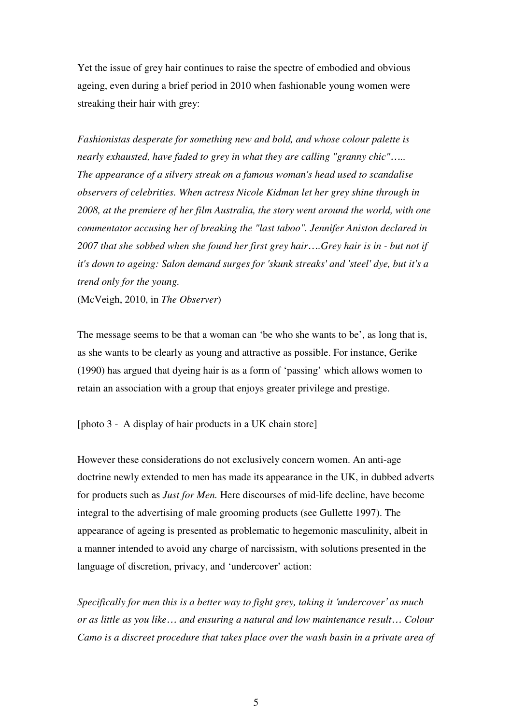Yet the issue of grey hair continues to raise the spectre of embodied and obvious ageing, even during a brief period in 2010 when fashionable young women were streaking their hair with grey:

*Fashionistas desperate for something new and bold, and whose colour palette is nearly exhausted, have faded to grey in what they are calling "granny chic"*…*.. The appearance of a silvery streak on a famous woman's head used to scandalise observers of celebrities. When actress Nicole Kidman let her grey shine through in 2008, at the premiere of her film Australia, the story went around the world, with one commentator accusing her of breaking the "last taboo". Jennifer Aniston declared in 2007 that she sobbed when she found her first grey hair*…*.Grey hair is in - but not if it's down to ageing: Salon demand surges for 'skunk streaks' and 'steel' dye, but it's a trend only for the young.* 

(McVeigh, 2010, in *The Observer*)

The message seems to be that a woman can 'be who she wants to be', as long that is, as she wants to be clearly as young and attractive as possible. For instance, Gerike (1990) has argued that dyeing hair is as a form of 'passing' which allows women to retain an association with a group that enjoys greater privilege and prestige.

[photo 3 - A display of hair products in a UK chain store]

However these considerations do not exclusively concern women. An anti-age doctrine newly extended to men has made its appearance in the UK, in dubbed adverts for products such as *Just for Men.* Here discourses of mid-life decline, have become integral to the advertising of male grooming products (see Gullette 1997). The appearance of ageing is presented as problematic to hegemonic masculinity, albeit in a manner intended to avoid any charge of narcissism, with solutions presented in the language of discretion, privacy, and 'undercover' action:

*Specifically for men this is a better way to fight grey, taking it* '*undercover*' *as much or as little as you like*… *and ensuring a natural and low maintenance result*… *Colour Camo is a discreet procedure that takes place over the wash basin in a private area of*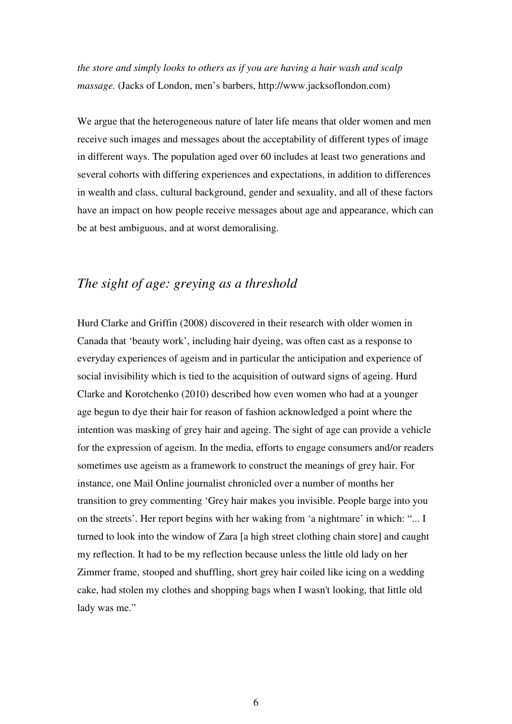*the store and simply looks to others as if you are having a hair wash and scalp massage.* (Jacks of London, men's barbers, http://www.jacksoflondon.com)

We argue that the heterogeneous nature of later life means that older women and men receive such images and messages about the acceptability of different types of image in different ways. The population aged over 60 includes at least two generations and several cohorts with differing experiences and expectations, in addition to differences in wealth and class, cultural background, gender and sexuality, and all of these factors have an impact on how people receive messages about age and appearance, which can be at best ambiguous, and at worst demoralising.

# *The sight of age: greying as a threshold*

Hurd Clarke and Griffin (2008) discovered in their research with older women in Canada that 'beauty work', including hair dyeing, was often cast as a response to everyday experiences of ageism and in particular the anticipation and experience of social invisibility which is tied to the acquisition of outward signs of ageing. Hurd Clarke and Korotchenko (2010) described how even women who had at a younger age begun to dye their hair for reason of fashion acknowledged a point where the intention was masking of grey hair and ageing. The sight of age can provide a vehicle for the expression of ageism. In the media, efforts to engage consumers and/or readers sometimes use ageism as a framework to construct the meanings of grey hair. For instance, one Mail Online journalist chronicled over a number of months her transition to grey commenting 'Grey hair makes you invisible. People barge into you on the streets'. Her report begins with her waking from 'a nightmare' in which: "... I turned to look into the window of Zara [a high street clothing chain store] and caught my reflection. It had to be my reflection because unless the little old lady on her Zimmer frame, stooped and shuffling, short grey hair coiled like icing on a wedding cake, had stolen my clothes and shopping bags when I wasn't looking, that little old lady was me."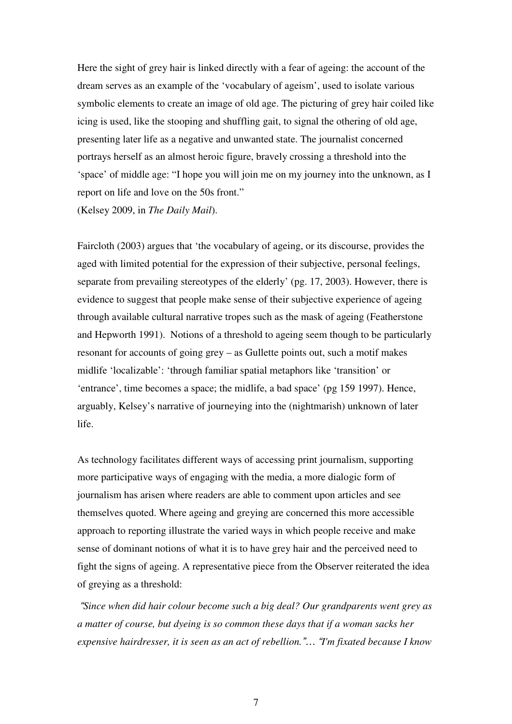Here the sight of grey hair is linked directly with a fear of ageing: the account of the dream serves as an example of the 'vocabulary of ageism', used to isolate various symbolic elements to create an image of old age. The picturing of grey hair coiled like icing is used, like the stooping and shuffling gait, to signal the othering of old age, presenting later life as a negative and unwanted state. The journalist concerned portrays herself as an almost heroic figure, bravely crossing a threshold into the 'space' of middle age: "I hope you will join me on my journey into the unknown, as I report on life and love on the 50s front."

(Kelsey 2009, in *The Daily Mail*).

Faircloth (2003) argues that 'the vocabulary of ageing, or its discourse, provides the aged with limited potential for the expression of their subjective, personal feelings, separate from prevailing stereotypes of the elderly' (pg. 17, 2003). However, there is evidence to suggest that people make sense of their subjective experience of ageing through available cultural narrative tropes such as the mask of ageing (Featherstone and Hepworth 1991). Notions of a threshold to ageing seem though to be particularly resonant for accounts of going grey – as Gullette points out, such a motif makes midlife 'localizable': 'through familiar spatial metaphors like 'transition' or 'entrance', time becomes a space; the midlife, a bad space' (pg 159 1997). Hence, arguably, Kelsey's narrative of journeying into the (nightmarish) unknown of later life.

As technology facilitates different ways of accessing print journalism, supporting more participative ways of engaging with the media, a more dialogic form of journalism has arisen where readers are able to comment upon articles and see themselves quoted. Where ageing and greying are concerned this more accessible approach to reporting illustrate the varied ways in which people receive and make sense of dominant notions of what it is to have grey hair and the perceived need to fight the signs of ageing. A representative piece from the Observer reiterated the idea of greying as a threshold:

"*Since when did hair colour become such a big deal? Our grandparents went grey as a matter of course, but dyeing is so common these days that if a woman sacks her expensive hairdresser, it is seen as an act of rebellion.*"… "*I'm fixated because I know* 

7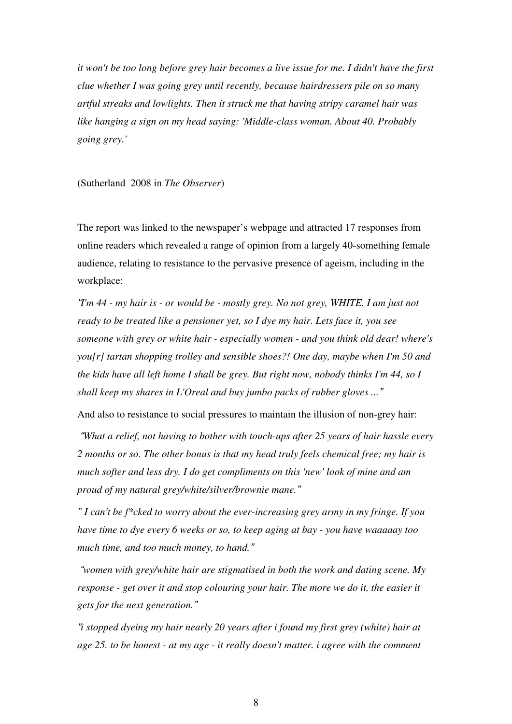*it won't be too long before grey hair becomes a live issue for me. I didn't have the first clue whether I was going grey until recently, because hairdressers pile on so many artful streaks and lowlights. Then it struck me that having stripy caramel hair was like hanging a sign on my head saying: 'Middle-class woman. About 40. Probably going grey.'* 

(Sutherland 2008 in *The Observer*)

The report was linked to the newspaper's webpage and attracted 17 responses from online readers which revealed a range of opinion from a largely 40-something female audience, relating to resistance to the pervasive presence of ageism, including in the workplace:

"*I'm 44 - my hair is - or would be - mostly grey. No not grey, WHITE. I am just not ready to be treated like a pensioner yet, so I dye my hair. Lets face it, you see someone with grey or white hair - especially women - and you think old dear! where's you[r] tartan shopping trolley and sensible shoes?! One day, maybe when I'm 50 and the kids have all left home I shall be grey. But right now, nobody thinks I'm 44, so I shall keep my shares in L'Oreal and buy jumbo packs of rubber gloves ...*"

And also to resistance to social pressures to maintain the illusion of non-grey hair:

"*What a relief, not having to bother with touch-ups after 25 years of hair hassle every 2 months or so. The other bonus is that my head truly feels chemical free; my hair is much softer and less dry. I do get compliments on this 'new' look of mine and am proud of my natural grey/white/silver/brownie mane.*"

*" I can't be f\*cked to worry about the ever-increasing grey army in my fringe. If you have time to dye every 6 weeks or so, to keep aging at bay - you have waaaaay too much time, and too much money, to hand.*"

"*women with grey/white hair are stigmatised in both the work and dating scene. My response - get over it and stop colouring your hair. The more we do it, the easier it gets for the next generation.*"

"*i stopped dyeing my hair nearly 20 years after i found my first grey (white) hair at age 25. to be honest - at my age - it really doesn't matter. i agree with the comment*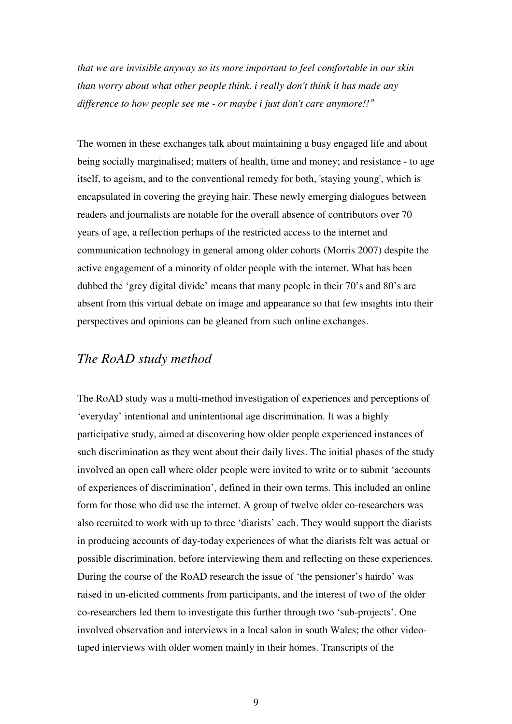*that we are invisible anyway so its more important to feel comfortable in our skin than worry about what other people think. i really don't think it has made any difference to how people see me - or maybe i just don't care anymore!!*"

The women in these exchanges talk about maintaining a busy engaged life and about being socially marginalised; matters of health, time and money; and resistance - to age itself, to ageism, and to the conventional remedy for both, 'staying young', which is encapsulated in covering the greying hair. These newly emerging dialogues between readers and journalists are notable for the overall absence of contributors over 70 years of age, a reflection perhaps of the restricted access to the internet and communication technology in general among older cohorts (Morris 2007) despite the active engagement of a minority of older people with the internet. What has been dubbed the 'grey digital divide' means that many people in their 70's and 80's are absent from this virtual debate on image and appearance so that few insights into their perspectives and opinions can be gleaned from such online exchanges.

## *The RoAD study method*

The RoAD study was a multi-method investigation of experiences and perceptions of 'everyday' intentional and unintentional age discrimination. It was a highly participative study, aimed at discovering how older people experienced instances of such discrimination as they went about their daily lives. The initial phases of the study involved an open call where older people were invited to write or to submit 'accounts of experiences of discrimination', defined in their own terms. This included an online form for those who did use the internet. A group of twelve older co-researchers was also recruited to work with up to three 'diarists' each. They would support the diarists in producing accounts of day-today experiences of what the diarists felt was actual or possible discrimination, before interviewing them and reflecting on these experiences. During the course of the RoAD research the issue of 'the pensioner's hairdo' was raised in un-elicited comments from participants, and the interest of two of the older co-researchers led them to investigate this further through two 'sub-projects'. One involved observation and interviews in a local salon in south Wales; the other videotaped interviews with older women mainly in their homes. Transcripts of the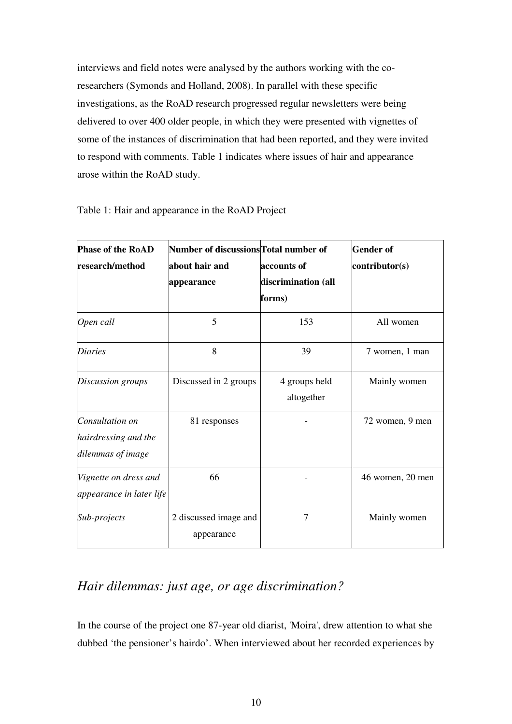interviews and field notes were analysed by the authors working with the coresearchers (Symonds and Holland, 2008). In parallel with these specific investigations, as the RoAD research progressed regular newsletters were being delivered to over 400 older people, in which they were presented with vignettes of some of the instances of discrimination that had been reported, and they were invited to respond with comments. Table 1 indicates where issues of hair and appearance arose within the RoAD study.

| <b>Phase of the RoAD</b><br>research/method                  | Number of discussions Total number of<br>about hair and<br>appearance | accounts of<br>discrimination (all<br>forms) | <b>Gender</b> of<br>contributor(s) |
|--------------------------------------------------------------|-----------------------------------------------------------------------|----------------------------------------------|------------------------------------|
| Open call                                                    | 5                                                                     | 153                                          | All women                          |
| <b>Diaries</b>                                               | 8                                                                     | 39                                           | 7 women, 1 man                     |
| Discussion groups                                            | Discussed in 2 groups                                                 | 4 groups held<br>altogether                  | Mainly women                       |
| Consultation on<br>hairdressing and the<br>dilemmas of image | 81 responses                                                          |                                              | 72 women, 9 men                    |
| Vignette on dress and<br>appearance in later life            | 66                                                                    |                                              | 46 women, 20 men                   |
| Sub-projects                                                 | 2 discussed image and<br>appearance                                   | $\overline{7}$                               | Mainly women                       |

Table 1: Hair and appearance in the RoAD Project

# *Hair dilemmas: just age, or age discrimination?*

In the course of the project one 87-year old diarist, 'Moira', drew attention to what she dubbed 'the pensioner's hairdo'. When interviewed about her recorded experiences by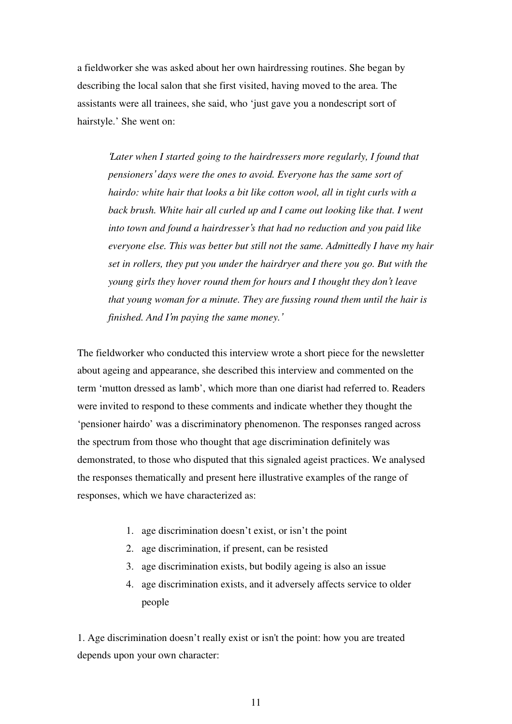a fieldworker she was asked about her own hairdressing routines. She began by describing the local salon that she first visited, having moved to the area. The assistants were all trainees, she said, who 'just gave you a nondescript sort of hairstyle.' She went on:

'*Later when I started going to the hairdressers more regularly, I found that pensioners*' *days were the ones to avoid. Everyone has the same sort of hairdo: white hair that looks a bit like cotton wool, all in tight curls with a*  back brush. White hair all curled up and I came out looking like that. I went *into town and found a hairdresser*'*s that had no reduction and you paid like everyone else. This was better but still not the same. Admittedly I have my hair set in rollers, they put you under the hairdryer and there you go. But with the young girls they hover round them for hours and I thought they don*'*t leave that young woman for a minute. They are fussing round them until the hair is finished. And I*'*m paying the same money.*'

The fieldworker who conducted this interview wrote a short piece for the newsletter about ageing and appearance, she described this interview and commented on the term 'mutton dressed as lamb', which more than one diarist had referred to. Readers were invited to respond to these comments and indicate whether they thought the 'pensioner hairdo' was a discriminatory phenomenon. The responses ranged across the spectrum from those who thought that age discrimination definitely was demonstrated, to those who disputed that this signaled ageist practices. We analysed the responses thematically and present here illustrative examples of the range of responses, which we have characterized as:

- 1. age discrimination doesn't exist, or isn't the point
- 2. age discrimination, if present, can be resisted
- 3. age discrimination exists, but bodily ageing is also an issue
- 4. age discrimination exists, and it adversely affects service to older people

1. Age discrimination doesn't really exist or isn't the point: how you are treated depends upon your own character: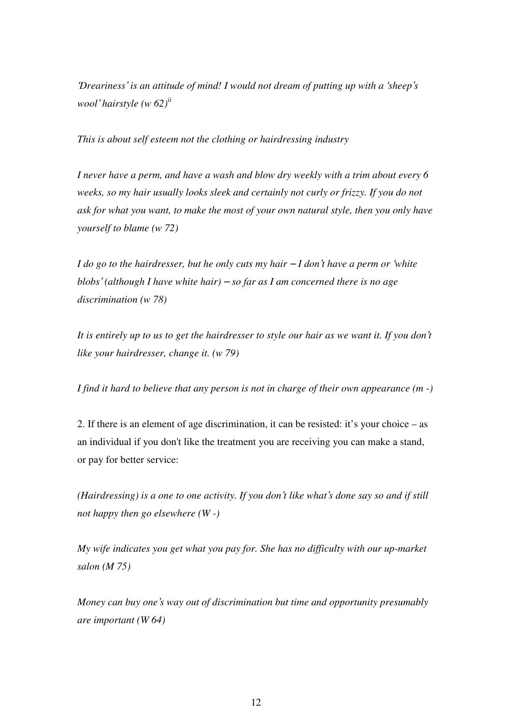'*Dreariness*' *is an attitude of mind! I would not dream of putting up with a* '*sheep*'*s wool*' *hairstyle (w 62)ii*

*This is about self esteem not the clothing or hairdressing industry* 

*I never have a perm, and have a wash and blow dry weekly with a trim about every 6 weeks, so my hair usually looks sleek and certainly not curly or frizzy. If you do not ask for what you want, to make the most of your own natural style, then you only have yourself to blame (w 72)* 

*I* do go to the hairdresser, but he only cuts my hair  $-I$  don't have a perm or 'white *blobs*' *(although I have white hair)* – *so far as I am concerned there is no age discrimination (w 78)* 

*It is entirely up to us to get the hairdresser to style our hair as we want it. If you don*'*t like your hairdresser, change it. (w 79)* 

*I find it hard to believe that any person is not in charge of their own appearance (m -)* 

2. If there is an element of age discrimination, it can be resisted: it's your choice – as an individual if you don't like the treatment you are receiving you can make a stand, or pay for better service:

*(Hairdressing) is a one to one activity. If you don*'*t like what*'*s done say so and if still not happy then go elsewhere (W -)* 

*My wife indicates you get what you pay for. She has no difficulty with our up-market salon (M 75)* 

*Money can buy one*'*s way out of discrimination but time and opportunity presumably are important (W 64)*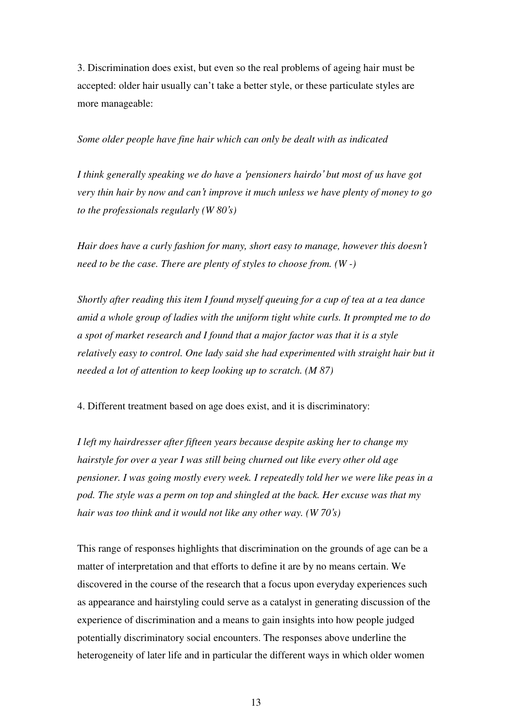3. Discrimination does exist, but even so the real problems of ageing hair must be accepted: older hair usually can't take a better style, or these particulate styles are more manageable:

*Some older people have fine hair which can only be dealt with as indicated* 

*I think generally speaking we do have a* '*pensioners hairdo*' *but most of us have got very thin hair by now and can*'*t improve it much unless we have plenty of money to go to the professionals regularly (W 80*'*s)* 

*Hair does have a curly fashion for many, short easy to manage, however this doesn*'*t need to be the case. There are plenty of styles to choose from. (W -)* 

*Shortly after reading this item I found myself queuing for a cup of tea at a tea dance amid a whole group of ladies with the uniform tight white curls. It prompted me to do a spot of market research and I found that a major factor was that it is a style relatively easy to control. One lady said she had experimented with straight hair but it needed a lot of attention to keep looking up to scratch. (M 87)* 

4. Different treatment based on age does exist, and it is discriminatory:

*I left my hairdresser after fifteen years because despite asking her to change my hairstyle for over a year I was still being churned out like every other old age pensioner. I was going mostly every week. I repeatedly told her we were like peas in a pod. The style was a perm on top and shingled at the back. Her excuse was that my hair was too think and it would not like any other way. (W 70*'*s)* 

This range of responses highlights that discrimination on the grounds of age can be a matter of interpretation and that efforts to define it are by no means certain. We discovered in the course of the research that a focus upon everyday experiences such as appearance and hairstyling could serve as a catalyst in generating discussion of the experience of discrimination and a means to gain insights into how people judged potentially discriminatory social encounters. The responses above underline the heterogeneity of later life and in particular the different ways in which older women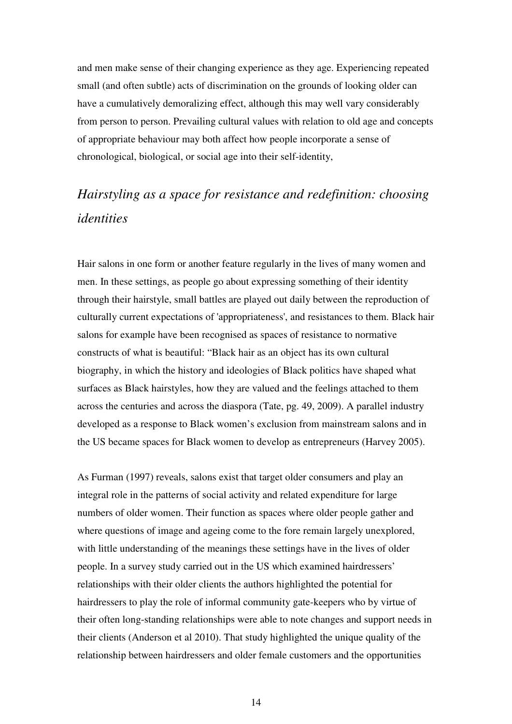and men make sense of their changing experience as they age. Experiencing repeated small (and often subtle) acts of discrimination on the grounds of looking older can have a cumulatively demoralizing effect, although this may well vary considerably from person to person. Prevailing cultural values with relation to old age and concepts of appropriate behaviour may both affect how people incorporate a sense of chronological, biological, or social age into their self-identity,

# *Hairstyling as a space for resistance and redefinition: choosing identities*

Hair salons in one form or another feature regularly in the lives of many women and men. In these settings, as people go about expressing something of their identity through their hairstyle, small battles are played out daily between the reproduction of culturally current expectations of 'appropriateness', and resistances to them. Black hair salons for example have been recognised as spaces of resistance to normative constructs of what is beautiful: "Black hair as an object has its own cultural biography, in which the history and ideologies of Black politics have shaped what surfaces as Black hairstyles, how they are valued and the feelings attached to them across the centuries and across the diaspora (Tate, pg. 49, 2009). A parallel industry developed as a response to Black women's exclusion from mainstream salons and in the US became spaces for Black women to develop as entrepreneurs (Harvey 2005).

As Furman (1997) reveals, salons exist that target older consumers and play an integral role in the patterns of social activity and related expenditure for large numbers of older women. Their function as spaces where older people gather and where questions of image and ageing come to the fore remain largely unexplored, with little understanding of the meanings these settings have in the lives of older people. In a survey study carried out in the US which examined hairdressers' relationships with their older clients the authors highlighted the potential for hairdressers to play the role of informal community gate-keepers who by virtue of their often long-standing relationships were able to note changes and support needs in their clients (Anderson et al 2010). That study highlighted the unique quality of the relationship between hairdressers and older female customers and the opportunities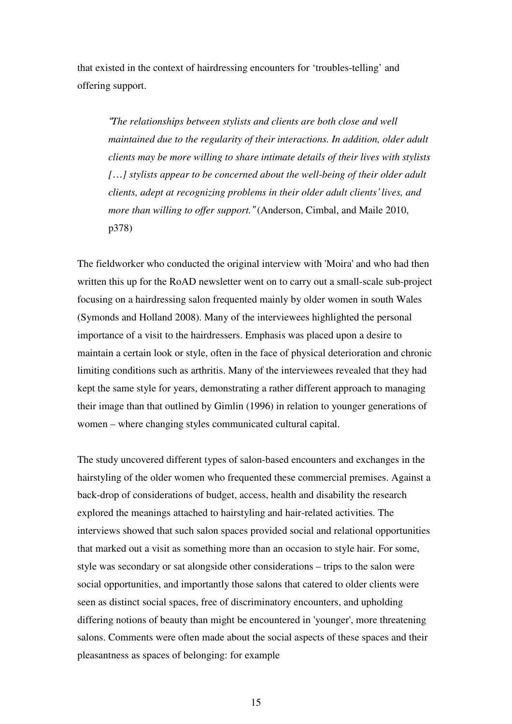that existed in the context of hairdressing encounters for 'troubles-telling' and offering support.

"*The relationships between stylists and clients are both close and well maintained due to the regularity of their interactions. In addition, older adult clients may be more willing to share intimate details of their lives with stylists [*…*] stylists appear to be concerned about the well-being of their older adult clients, adept at recognizing problems in their older adult clients*' *lives, and more than willing to offer support.*" (Anderson, Cimbal, and Maile 2010, p378)

The fieldworker who conducted the original interview with 'Moira' and who had then written this up for the RoAD newsletter went on to carry out a small-scale sub-project focusing on a hairdressing salon frequented mainly by older women in south Wales (Symonds and Holland 2008). Many of the interviewees highlighted the personal importance of a visit to the hairdressers. Emphasis was placed upon a desire to maintain a certain look or style, often in the face of physical deterioration and chronic limiting conditions such as arthritis. Many of the interviewees revealed that they had kept the same style for years, demonstrating a rather different approach to managing their image than that outlined by Gimlin (1996) in relation to younger generations of women – where changing styles communicated cultural capital.

The study uncovered different types of salon-based encounters and exchanges in the hairstyling of the older women who frequented these commercial premises. Against a back-drop of considerations of budget, access, health and disability the research explored the meanings attached to hairstyling and hair-related activities. The interviews showed that such salon spaces provided social and relational opportunities that marked out a visit as something more than an occasion to style hair. For some, style was secondary or sat alongside other considerations – trips to the salon were social opportunities, and importantly those salons that catered to older clients were seen as distinct social spaces, free of discriminatory encounters, and upholding differing notions of beauty than might be encountered in 'younger', more threatening salons. Comments were often made about the social aspects of these spaces and their pleasantness as spaces of belonging: for example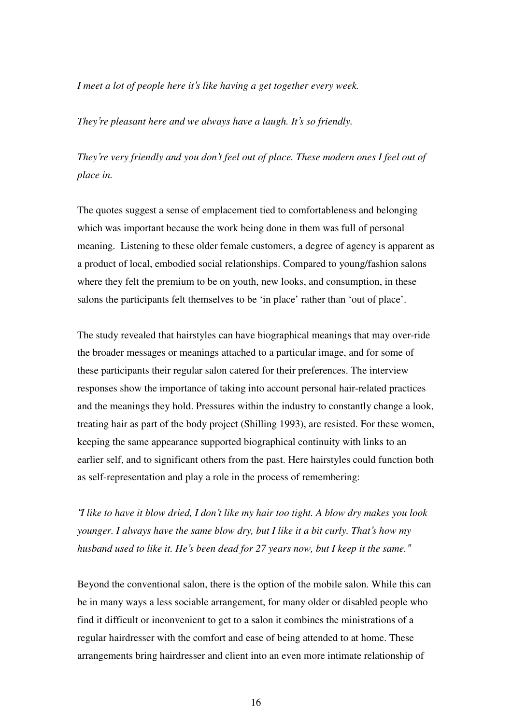*I meet a lot of people here it*'*s like having a get together every week.* 

*They*'*re pleasant here and we always have a laugh. It*'*s so friendly.* 

*They*'*re very friendly and you don*'*t feel out of place. These modern ones I feel out of place in.* 

The quotes suggest a sense of emplacement tied to comfortableness and belonging which was important because the work being done in them was full of personal meaning. Listening to these older female customers, a degree of agency is apparent as a product of local, embodied social relationships. Compared to young/fashion salons where they felt the premium to be on youth, new looks, and consumption, in these salons the participants felt themselves to be 'in place' rather than 'out of place'.

The study revealed that hairstyles can have biographical meanings that may over-ride the broader messages or meanings attached to a particular image, and for some of these participants their regular salon catered for their preferences. The interview responses show the importance of taking into account personal hair-related practices and the meanings they hold. Pressures within the industry to constantly change a look, treating hair as part of the body project (Shilling 1993), are resisted. For these women, keeping the same appearance supported biographical continuity with links to an earlier self, and to significant others from the past. Here hairstyles could function both as self-representation and play a role in the process of remembering:

"*I like to have it blow dried, I don*'*t like my hair too tight. A blow dry makes you look younger. I always have the same blow dry, but I like it a bit curly. That*'*s how my husband used to like it. He*'*s been dead for 27 years now, but I keep it the same.*"

Beyond the conventional salon, there is the option of the mobile salon. While this can be in many ways a less sociable arrangement, for many older or disabled people who find it difficult or inconvenient to get to a salon it combines the ministrations of a regular hairdresser with the comfort and ease of being attended to at home. These arrangements bring hairdresser and client into an even more intimate relationship of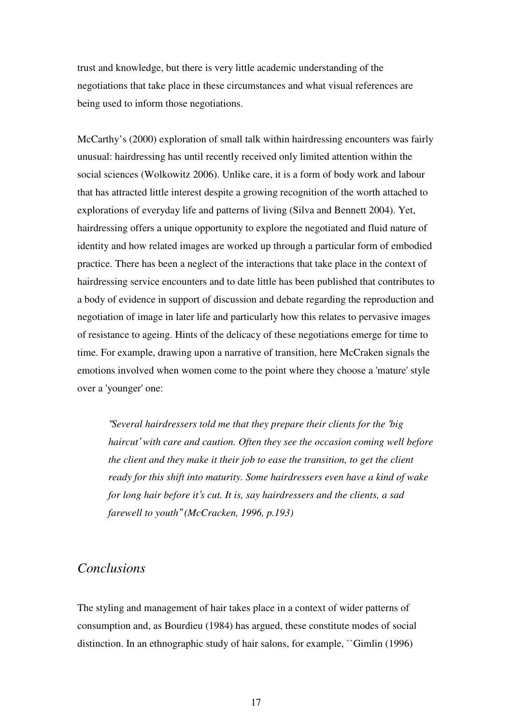trust and knowledge, but there is very little academic understanding of the negotiations that take place in these circumstances and what visual references are being used to inform those negotiations.

McCarthy's (2000) exploration of small talk within hairdressing encounters was fairly unusual: hairdressing has until recently received only limited attention within the social sciences (Wolkowitz 2006). Unlike care, it is a form of body work and labour that has attracted little interest despite a growing recognition of the worth attached to explorations of everyday life and patterns of living (Silva and Bennett 2004). Yet, hairdressing offers a unique opportunity to explore the negotiated and fluid nature of identity and how related images are worked up through a particular form of embodied practice. There has been a neglect of the interactions that take place in the context of hairdressing service encounters and to date little has been published that contributes to a body of evidence in support of discussion and debate regarding the reproduction and negotiation of image in later life and particularly how this relates to pervasive images of resistance to ageing. Hints of the delicacy of these negotiations emerge for time to time. For example, drawing upon a narrative of transition, here McCraken signals the emotions involved when women come to the point where they choose a 'mature' style over a 'younger' one:

"*Several hairdressers told me that they prepare their clients for the* '*big haircut*' *with care and caution. Often they see the occasion coming well before the client and they make it their job to ease the transition, to get the client ready for this shift into maturity. Some hairdressers even have a kind of wake for long hair before it*'*s cut. It is, say hairdressers and the clients, a sad farewell to youth*" *(McCracken, 1996, p.193)*

#### *Conclusions*

The styling and management of hair takes place in a context of wider patterns of consumption and, as Bourdieu (1984) has argued, these constitute modes of social distinction. In an ethnographic study of hair salons, for example, ``Gimlin (1996)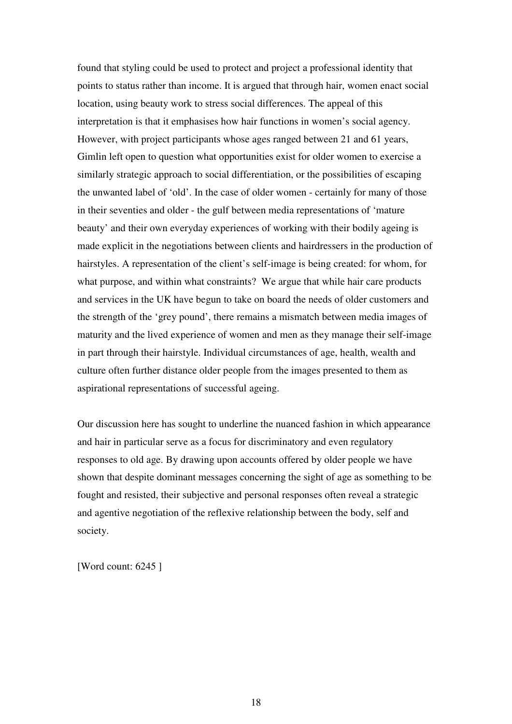found that styling could be used to protect and project a professional identity that points to status rather than income. It is argued that through hair, women enact social location, using beauty work to stress social differences. The appeal of this interpretation is that it emphasises how hair functions in women's social agency. However, with project participants whose ages ranged between 21 and 61 years, Gimlin left open to question what opportunities exist for older women to exercise a similarly strategic approach to social differentiation, or the possibilities of escaping the unwanted label of 'old'. In the case of older women - certainly for many of those in their seventies and older - the gulf between media representations of 'mature beauty' and their own everyday experiences of working with their bodily ageing is made explicit in the negotiations between clients and hairdressers in the production of hairstyles. A representation of the client's self-image is being created: for whom, for what purpose, and within what constraints? We argue that while hair care products and services in the UK have begun to take on board the needs of older customers and the strength of the 'grey pound', there remains a mismatch between media images of maturity and the lived experience of women and men as they manage their self-image in part through their hairstyle. Individual circumstances of age, health, wealth and culture often further distance older people from the images presented to them as aspirational representations of successful ageing.

Our discussion here has sought to underline the nuanced fashion in which appearance and hair in particular serve as a focus for discriminatory and even regulatory responses to old age. By drawing upon accounts offered by older people we have shown that despite dominant messages concerning the sight of age as something to be fought and resisted, their subjective and personal responses often reveal a strategic and agentive negotiation of the reflexive relationship between the body, self and society.

[Word count: 6245 ]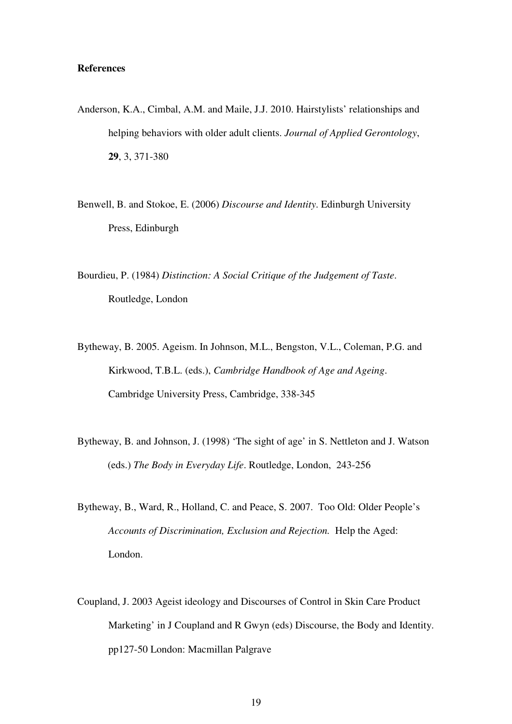#### **References**

- Anderson, K.A., Cimbal, A.M. and Maile, J.J. 2010. Hairstylists' relationships and helping behaviors with older adult clients. *Journal of Applied Gerontology*, **29**, 3, 371-380
- Benwell, B. and Stokoe, E. (2006) *Discourse and Identity*. Edinburgh University Press, Edinburgh
- Bourdieu, P. (1984) *Distinction: A Social Critique of the Judgement of Taste*. Routledge, London
- Bytheway, B. 2005. Ageism. In Johnson, M.L., Bengston, V.L., Coleman, P.G. and Kirkwood, T.B.L. (eds.), *Cambridge Handbook of Age and Ageing*. Cambridge University Press, Cambridge, 338-345
- Bytheway, B. and Johnson, J. (1998) 'The sight of age' in S. Nettleton and J. Watson (eds.) *The Body in Everyday Life*. Routledge, London, 243-256
- Bytheway, B., Ward, R., Holland, C. and Peace, S. 2007. Too Old: Older People's *Accounts of Discrimination, Exclusion and Rejection.* Help the Aged: London.
- Coupland, J. 2003 Ageist ideology and Discourses of Control in Skin Care Product Marketing' in J Coupland and R Gwyn (eds) Discourse, the Body and Identity. pp127-50 London: Macmillan Palgrave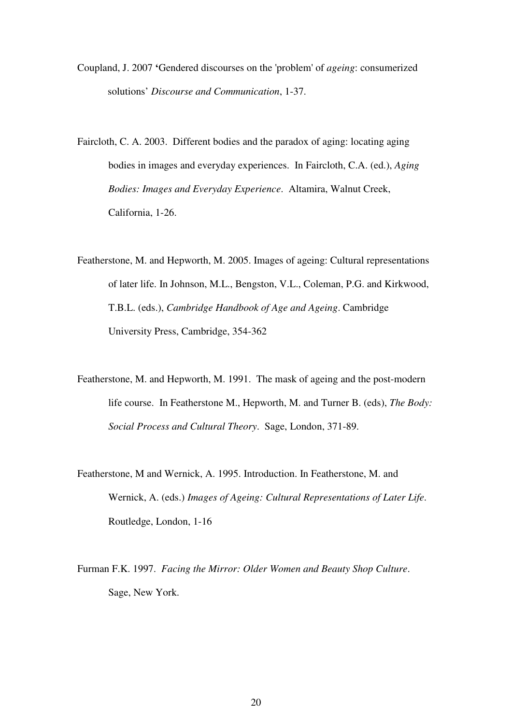- Coupland, J. 2007 **'**Gendered discourses on the 'problem' of *ageing*: consumerized solutions' *Discourse and Communication*, 1-37.
- Faircloth, C. A. 2003. Different bodies and the paradox of aging: locating aging bodies in images and everyday experiences. In Faircloth, C.A. (ed.), *Aging Bodies: Images and Everyday Experience*. Altamira, Walnut Creek, California, 1-26.
- Featherstone, M. and Hepworth, M. 2005. Images of ageing: Cultural representations of later life. In Johnson, M.L., Bengston, V.L., Coleman, P.G. and Kirkwood, T.B.L. (eds.), *Cambridge Handbook of Age and Ageing*. Cambridge University Press, Cambridge, 354-362
- Featherstone, M. and Hepworth, M. 1991. The mask of ageing and the post-modern life course. In Featherstone M., Hepworth, M. and Turner B. (eds), *The Body: Social Process and Cultural Theory*. Sage, London, 371-89.
- Featherstone, M and Wernick, A. 1995. Introduction. In Featherstone, M. and Wernick, A. (eds.) *Images of Ageing: Cultural Representations of Later Life*. Routledge, London, 1-16
- Furman F.K. 1997. *Facing the Mirror: Older Women and Beauty Shop Culture*. Sage, New York.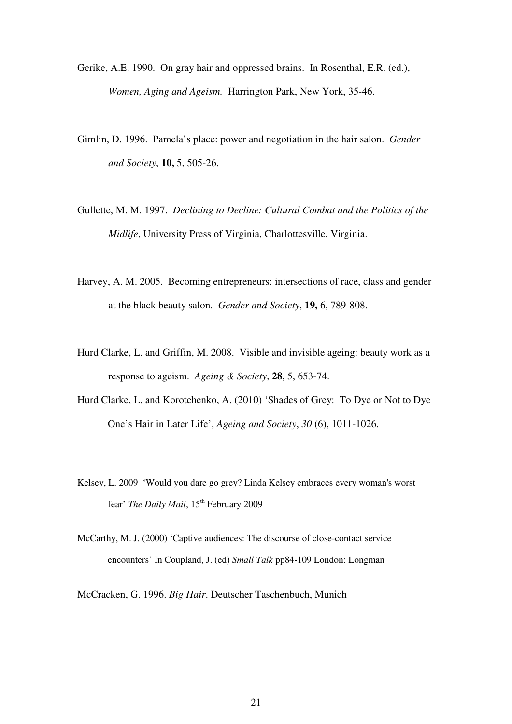- Gerike, A.E. 1990. On gray hair and oppressed brains. In Rosenthal, E.R. (ed.), *Women, Aging and Ageism.* Harrington Park, New York, 35-46.
- Gimlin, D. 1996. Pamela's place: power and negotiation in the hair salon. *Gender and Society*, **10,** 5, 505-26.
- Gullette, M. M. 1997. *Declining to Decline: Cultural Combat and the Politics of the Midlife*, University Press of Virginia, Charlottesville, Virginia.
- Harvey, A. M. 2005. Becoming entrepreneurs: intersections of race, class and gender at the black beauty salon. *Gender and Society*, **19,** 6, 789-808.
- Hurd Clarke, L. and Griffin, M. 2008. Visible and invisible ageing: beauty work as a response to ageism. *Ageing & Society*, **28**, 5, 653-74.
- Hurd Clarke, L. and Korotchenko, A. (2010) 'Shades of Grey: To Dye or Not to Dye One's Hair in Later Life', *Ageing and Society*, *30* (6), 1011-1026.
- Kelsey, L. 2009 'Would you dare go grey? Linda Kelsey embraces every woman's worst fear' *The Daily Mail*, 15<sup>th</sup> February 2009
- McCarthy, M. J. (2000) 'Captive audiences: The discourse of close-contact service encounters' In Coupland, J. (ed) *Small Talk* pp84-109 London: Longman

McCracken, G. 1996. *Big Hair*. Deutscher Taschenbuch, Munich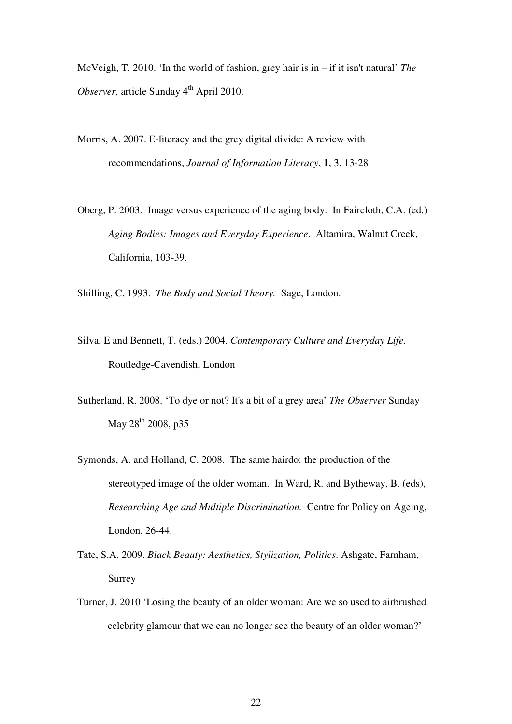McVeigh, T. 2010. 'In the world of fashion, grey hair is in – if it isn't natural' *The Observer, article Sunday 4<sup>th</sup> April 2010.* 

- Morris, A. 2007. E-literacy and the grey digital divide: A review with recommendations, *Journal of Information Literacy*, **1**, 3, 13-28
- Oberg, P. 2003. Image versus experience of the aging body. In Faircloth, C.A. (ed.) *Aging Bodies: Images and Everyday Experience*. Altamira, Walnut Creek, California, 103-39.

Shilling, C. 1993. *The Body and Social Theory.* Sage, London.

- Silva, E and Bennett, T. (eds.) 2004. *Contemporary Culture and Everyday Life*. Routledge-Cavendish, London
- Sutherland, R. 2008. 'To dye or not? It's a bit of a grey area' *The Observer* Sunday May  $28^{th}$  2008, p35
- Symonds, A. and Holland, C. 2008. The same hairdo: the production of the stereotyped image of the older woman. In Ward, R. and Bytheway, B. (eds), *Researching Age and Multiple Discrimination.* Centre for Policy on Ageing, London, 26-44.
- Tate, S.A. 2009. *Black Beauty: Aesthetics, Stylization, Politics*. Ashgate, Farnham, Surrey
- Turner, J. 2010 'Losing the beauty of an older woman: Are we so used to airbrushed celebrity glamour that we can no longer see the beauty of an older woman?'